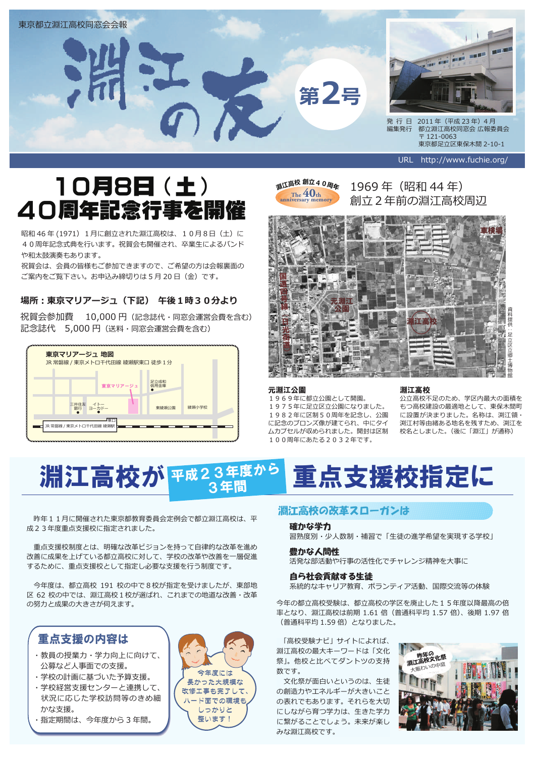

# 10月8日 (土) 40周年記念行事を開催

昭和46年(1971) 1月に創立された淵江高校は、10月8日 (土)に 40周年記念式典を行います。祝賀会も開催され、卒業生によるバンド や和太鼓演奏もあります。

祝賀会は、会員の皆様もご参加できますので、ご希望の方は会報裏面の ご案内をご覧下さい。お申込み締切りは5月20日 (金)です。

## 場所:東京マリアージュ(下記) 午後1時30分より

祝賀会参加費 10,000円 (記念誌代・同窓会運営会費を含む) 記念誌代 5,000 円 (送料・同窓会運営会費を含む)





1969年 (昭和44年) 創立2年前の淵江高校周辺



#### 元淵江公園

1969年に都立公園として開園。 1975年に足立区立公園になりました。 1982年に区制50周年を記念し、公園 に記念のブロンズ像が建てられ、中にタイ ムカプセルが収められました。開封は区制 100周年にあたる2032年です。

#### 淵江高校

公立高校不足のため、学区内最大の面積を もつ高校建設の最適地として、東保木間町 に設置が決まりました。名称は、渕江領・ 渕江村等由緒ある地名を残すため、渕江を 校名としました。(後に「淵江」が通称)

#### 淵江高校が 平成23年度から 3年間 重点支援校指定に

昨年11月に開催された東京都教育委員会定例会で都立淵江高校は、平 成23年度重点支援校に指定されました。

重点支援校制度とは、明確な改革ビジョンを持って自律的な改革を進め 改善に成果を上げている都立高校に対して、学校の改革や改善を一層促進 するために、重点支援校として指定し必要な支援を行う制度です。

今年度は、都立高校 191 校の中で8校が指定を受けましたが、東部地 区 62 校の中では、淵江高校1校が選ばれ、これまでの地道な改善・改革 の努力と成果の大きさが伺えます。

## 重点支援の内容は

- ・教員の授業力・学力向上に向けて、 公募など人事面での支援。
- ・学校の計画に基づいた予算支援。
- ・学校経営支援センターと連携して、 状況に応じた学校訪問等のきめ細 かな支援。
- ・指定期間は、今年度から3年間。



## 淵江高校の改革スローガンは

#### 確かな学力

習熟度別・少人数制・補習で「生徒の進学希望を実現する学校」

#### 豊かな人間性

活発な部活動や行事の活性化でチャレンジ精神を大事に

#### 自ら社会貢献する生徒

-<br>系統的なキャリア教育、ボランティア活動、国際交流等の体験

今年の都立高校受験は、都立高校の学区を廃止した15年度以降最高の倍 率となり、淵江高校は前期 1.61 倍 (普通科平均 1.57 倍)、後期 1.97 倍 (普通科平均1.59倍)となりました。

「高校受験ナビ」サイトによれば、 淵江高校の最大キーワードは「文化 祭」。他校と比べてダントツの支持 数です。

文化祭が面白いというのは、生徒 の創造力やエネルギーが大きいこと の表れでもあります。それらを大切 にしながら育つ学力は、生きた学力 に繋がることでしょう。未来が楽し みな淵江高校です。